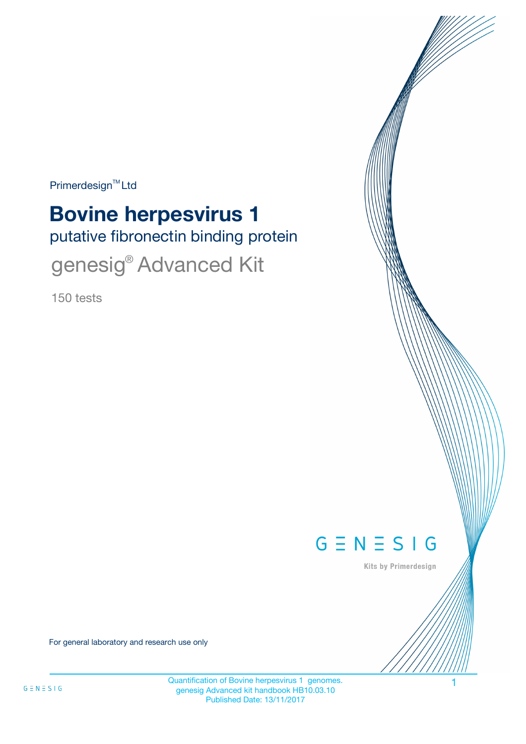Primerdesign<sup>™</sup>Ltd

# **Bovine herpesvirus 1**

putative fibronectin binding protein

genesig<sup>®</sup> Advanced Kit

150 tests



Kits by Primerdesign

For general laboratory and research use only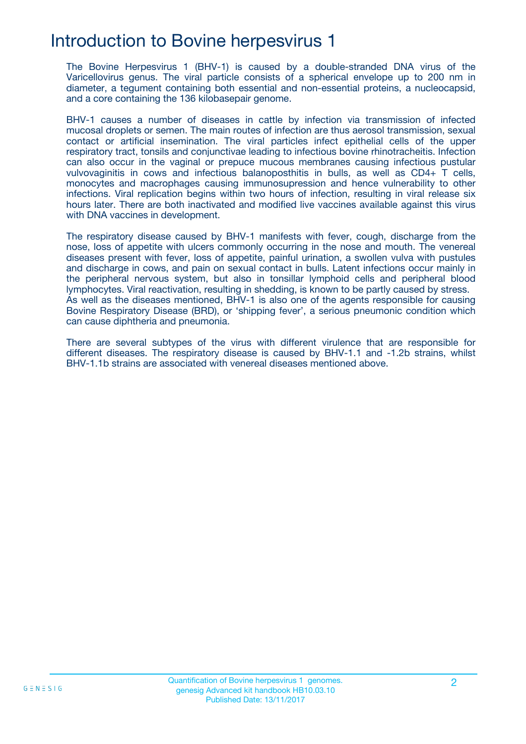### Introduction to Bovine herpesvirus 1

The Bovine Herpesvirus 1 (BHV-1) is caused by a double-stranded DNA virus of the Varicellovirus genus. The viral particle consists of a spherical envelope up to 200 nm in diameter, a tegument containing both essential and non-essential proteins, a nucleocapsid, and a core containing the 136 kilobasepair genome.

BHV-1 causes a number of diseases in cattle by infection via transmission of infected mucosal droplets or semen. The main routes of infection are thus aerosol transmission, sexual contact or artificial insemination. The viral particles infect epithelial cells of the upper respiratory tract, tonsils and conjunctivae leading to infectious bovine rhinotracheitis. Infection can also occur in the vaginal or prepuce mucous membranes causing infectious pustular vulvovaginitis in cows and infectious balanoposthitis in bulls, as well as CD4+ T cells, monocytes and macrophages causing immunosupression and hence vulnerability to other infections. Viral replication begins within two hours of infection, resulting in viral release six hours later. There are both inactivated and modified live vaccines available against this virus with DNA vaccines in development.

The respiratory disease caused by BHV-1 manifests with fever, cough, discharge from the nose, loss of appetite with ulcers commonly occurring in the nose and mouth. The venereal diseases present with fever, loss of appetite, painful urination, a swollen vulva with pustules and discharge in cows, and pain on sexual contact in bulls. Latent infections occur mainly in the peripheral nervous system, but also in tonsillar lymphoid cells and peripheral blood lymphocytes. Viral reactivation, resulting in shedding, is known to be partly caused by stress. As well as the diseases mentioned, BHV-1 is also one of the agents responsible for causing Bovine Respiratory Disease (BRD), or 'shipping fever', a serious pneumonic condition which can cause diphtheria and pneumonia.

There are several subtypes of the virus with different virulence that are responsible for different diseases. The respiratory disease is caused by BHV-1.1 and -1.2b strains, whilst BHV-1.1b strains are associated with venereal diseases mentioned above.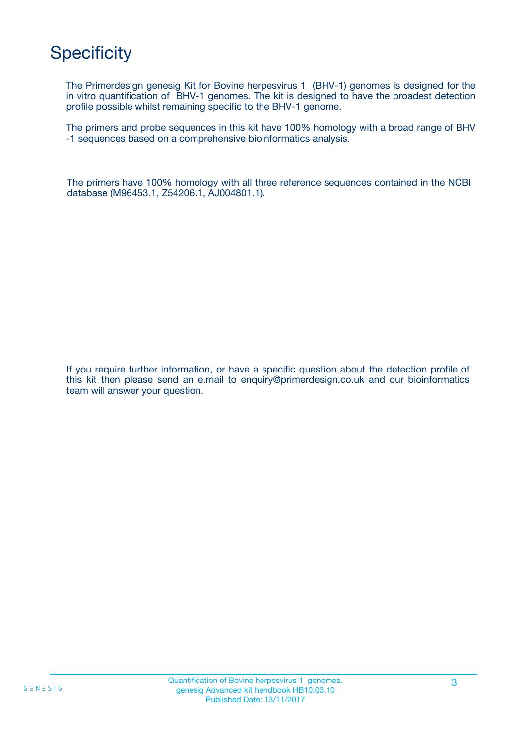# **Specificity**

The Primerdesign genesig Kit for Bovine herpesvirus 1 (BHV-1) genomes is designed for the in vitro quantification of BHV-1 genomes. The kit is designed to have the broadest detection profile possible whilst remaining specific to the BHV-1 genome.

The primers and probe sequences in this kit have 100% homology with a broad range of BHV -1 sequences based on a comprehensive bioinformatics analysis.

The primers have 100% homology with all three reference sequences contained in the NCBI database (M96453.1, Z54206.1, AJ004801.1).

If you require further information, or have a specific question about the detection profile of this kit then please send an e.mail to enquiry@primerdesign.co.uk and our bioinformatics team will answer your question.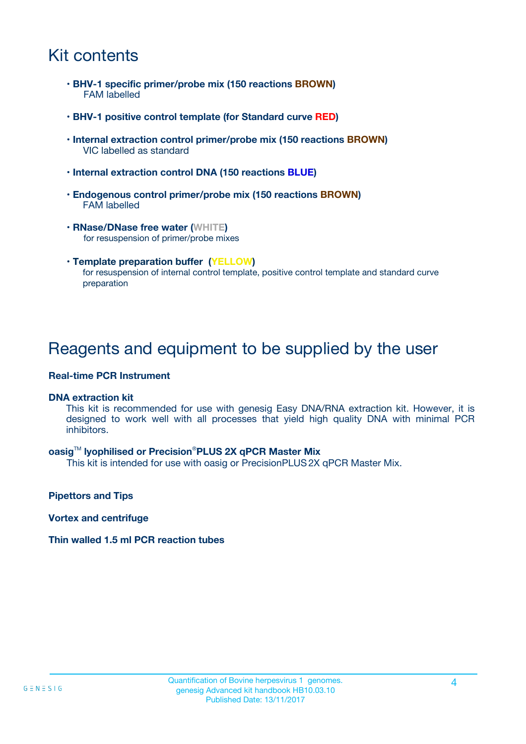# Kit contents

- **BHV-1 specific primer/probe mix (150 reactions BROWN)** FAM labelled
- **BHV-1 positive control template (for Standard curve RED)**
- **Internal extraction control primer/probe mix (150 reactions BROWN)** VIC labelled as standard
- **Internal extraction control DNA (150 reactions BLUE)**
- **Endogenous control primer/probe mix (150 reactions BROWN)** FAM labelled
- **RNase/DNase free water (WHITE)** for resuspension of primer/probe mixes
- **Template preparation buffer (YELLOW)** for resuspension of internal control template, positive control template and standard curve preparation

### Reagents and equipment to be supplied by the user

#### **Real-time PCR Instrument**

#### **DNA extraction kit**

This kit is recommended for use with genesig Easy DNA/RNA extraction kit. However, it is designed to work well with all processes that yield high quality DNA with minimal PCR inhibitors.

#### **oasig**TM **lyophilised or Precision**®**PLUS 2X qPCR Master Mix**

This kit is intended for use with oasig or PrecisionPLUS2X qPCR Master Mix.

**Pipettors and Tips**

**Vortex and centrifuge**

#### **Thin walled 1.5 ml PCR reaction tubes**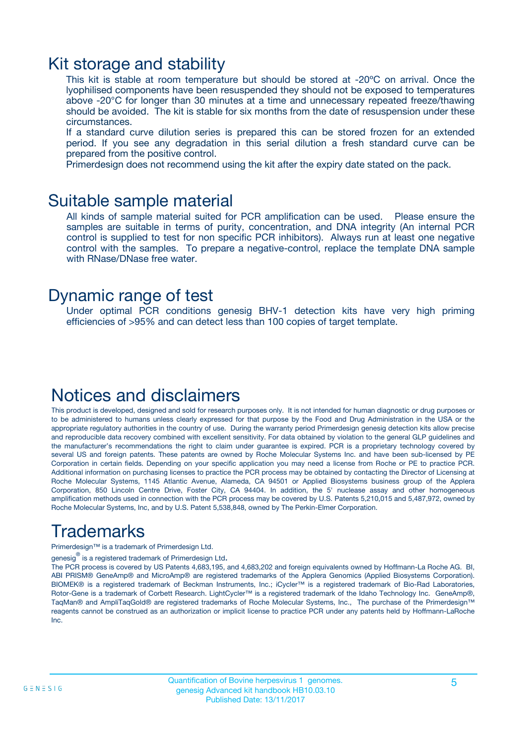### Kit storage and stability

This kit is stable at room temperature but should be stored at -20ºC on arrival. Once the lyophilised components have been resuspended they should not be exposed to temperatures above -20°C for longer than 30 minutes at a time and unnecessary repeated freeze/thawing should be avoided. The kit is stable for six months from the date of resuspension under these circumstances.

If a standard curve dilution series is prepared this can be stored frozen for an extended period. If you see any degradation in this serial dilution a fresh standard curve can be prepared from the positive control.

Primerdesign does not recommend using the kit after the expiry date stated on the pack.

### Suitable sample material

All kinds of sample material suited for PCR amplification can be used. Please ensure the samples are suitable in terms of purity, concentration, and DNA integrity (An internal PCR control is supplied to test for non specific PCR inhibitors). Always run at least one negative control with the samples. To prepare a negative-control, replace the template DNA sample with RNase/DNase free water.

### Dynamic range of test

Under optimal PCR conditions genesig BHV-1 detection kits have very high priming efficiencies of >95% and can detect less than 100 copies of target template.

# Notices and disclaimers

This product is developed, designed and sold for research purposes only. It is not intended for human diagnostic or drug purposes or to be administered to humans unless clearly expressed for that purpose by the Food and Drug Administration in the USA or the appropriate regulatory authorities in the country of use. During the warranty period Primerdesign genesig detection kits allow precise and reproducible data recovery combined with excellent sensitivity. For data obtained by violation to the general GLP guidelines and the manufacturer's recommendations the right to claim under guarantee is expired. PCR is a proprietary technology covered by several US and foreign patents. These patents are owned by Roche Molecular Systems Inc. and have been sub-licensed by PE Corporation in certain fields. Depending on your specific application you may need a license from Roche or PE to practice PCR. Additional information on purchasing licenses to practice the PCR process may be obtained by contacting the Director of Licensing at Roche Molecular Systems, 1145 Atlantic Avenue, Alameda, CA 94501 or Applied Biosystems business group of the Applera Corporation, 850 Lincoln Centre Drive, Foster City, CA 94404. In addition, the 5' nuclease assay and other homogeneous amplification methods used in connection with the PCR process may be covered by U.S. Patents 5,210,015 and 5,487,972, owned by Roche Molecular Systems, Inc, and by U.S. Patent 5,538,848, owned by The Perkin-Elmer Corporation.

# Trademarks

Primerdesign™ is a trademark of Primerdesign Ltd.

genesig $^\circledR$  is a registered trademark of Primerdesign Ltd.

The PCR process is covered by US Patents 4,683,195, and 4,683,202 and foreign equivalents owned by Hoffmann-La Roche AG. BI, ABI PRISM® GeneAmp® and MicroAmp® are registered trademarks of the Applera Genomics (Applied Biosystems Corporation). BIOMEK® is a registered trademark of Beckman Instruments, Inc.; iCycler™ is a registered trademark of Bio-Rad Laboratories, Rotor-Gene is a trademark of Corbett Research. LightCycler™ is a registered trademark of the Idaho Technology Inc. GeneAmp®, TaqMan® and AmpliTaqGold® are registered trademarks of Roche Molecular Systems, Inc., The purchase of the Primerdesign™ reagents cannot be construed as an authorization or implicit license to practice PCR under any patents held by Hoffmann-LaRoche Inc.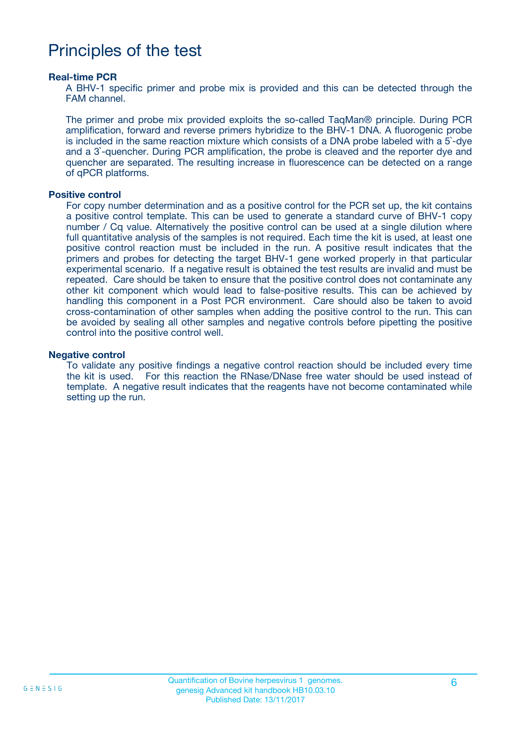### Principles of the test

#### **Real-time PCR**

A BHV-1 specific primer and probe mix is provided and this can be detected through the FAM channel.

The primer and probe mix provided exploits the so-called TaqMan® principle. During PCR amplification, forward and reverse primers hybridize to the BHV-1 DNA. A fluorogenic probe is included in the same reaction mixture which consists of a DNA probe labeled with a 5`-dye and a 3`-quencher. During PCR amplification, the probe is cleaved and the reporter dye and quencher are separated. The resulting increase in fluorescence can be detected on a range of qPCR platforms.

#### **Positive control**

For copy number determination and as a positive control for the PCR set up, the kit contains a positive control template. This can be used to generate a standard curve of BHV-1 copy number / Cq value. Alternatively the positive control can be used at a single dilution where full quantitative analysis of the samples is not required. Each time the kit is used, at least one positive control reaction must be included in the run. A positive result indicates that the primers and probes for detecting the target BHV-1 gene worked properly in that particular experimental scenario. If a negative result is obtained the test results are invalid and must be repeated. Care should be taken to ensure that the positive control does not contaminate any other kit component which would lead to false-positive results. This can be achieved by handling this component in a Post PCR environment. Care should also be taken to avoid cross-contamination of other samples when adding the positive control to the run. This can be avoided by sealing all other samples and negative controls before pipetting the positive control into the positive control well.

#### **Negative control**

To validate any positive findings a negative control reaction should be included every time the kit is used. For this reaction the RNase/DNase free water should be used instead of template. A negative result indicates that the reagents have not become contaminated while setting up the run.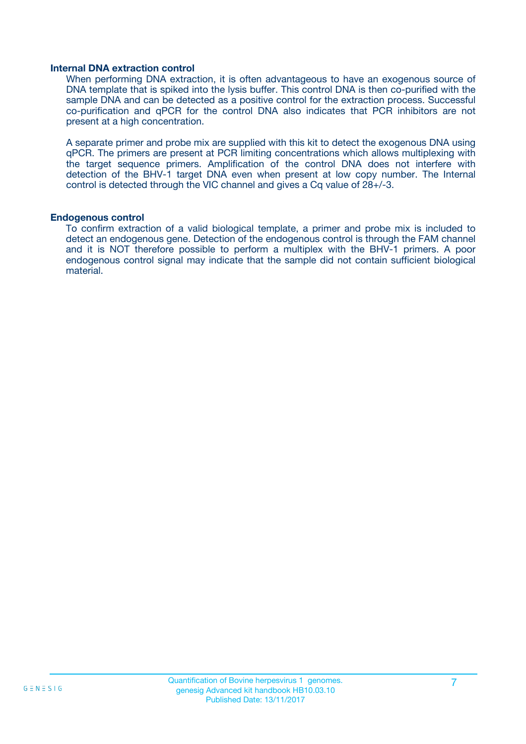#### **Internal DNA extraction control**

When performing DNA extraction, it is often advantageous to have an exogenous source of DNA template that is spiked into the lysis buffer. This control DNA is then co-purified with the sample DNA and can be detected as a positive control for the extraction process. Successful co-purification and qPCR for the control DNA also indicates that PCR inhibitors are not present at a high concentration.

A separate primer and probe mix are supplied with this kit to detect the exogenous DNA using qPCR. The primers are present at PCR limiting concentrations which allows multiplexing with the target sequence primers. Amplification of the control DNA does not interfere with detection of the BHV-1 target DNA even when present at low copy number. The Internal control is detected through the VIC channel and gives a Cq value of 28+/-3.

#### **Endogenous control**

To confirm extraction of a valid biological template, a primer and probe mix is included to detect an endogenous gene. Detection of the endogenous control is through the FAM channel and it is NOT therefore possible to perform a multiplex with the BHV-1 primers. A poor endogenous control signal may indicate that the sample did not contain sufficient biological material.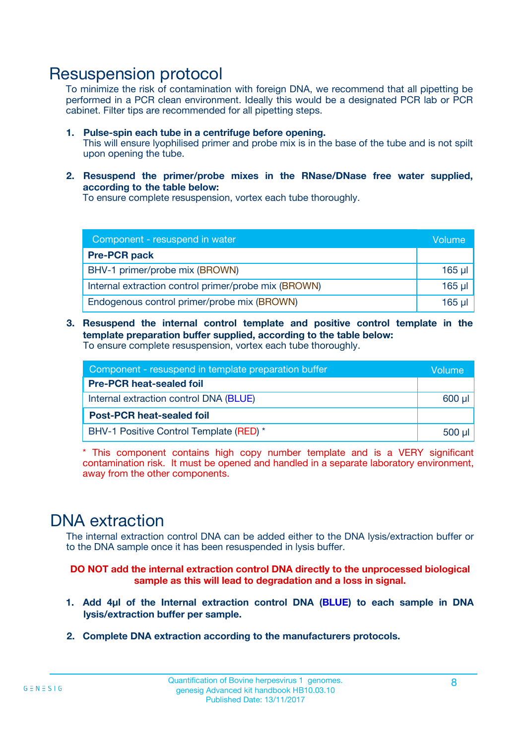### Resuspension protocol

To minimize the risk of contamination with foreign DNA, we recommend that all pipetting be performed in a PCR clean environment. Ideally this would be a designated PCR lab or PCR cabinet. Filter tips are recommended for all pipetting steps.

- **1. Pulse-spin each tube in a centrifuge before opening.** This will ensure lyophilised primer and probe mix is in the base of the tube and is not spilt upon opening the tube.
- **2. Resuspend the primer/probe mixes in the RNase/DNase free water supplied, according to the table below:**

To ensure complete resuspension, vortex each tube thoroughly.

| Component - resuspend in water                       |          |  |
|------------------------------------------------------|----------|--|
| <b>Pre-PCR pack</b>                                  |          |  |
| BHV-1 primer/probe mix (BROWN)                       | $165$ µl |  |
| Internal extraction control primer/probe mix (BROWN) | $165$ µl |  |
| Endogenous control primer/probe mix (BROWN)          | $165$ µl |  |

**3. Resuspend the internal control template and positive control template in the template preparation buffer supplied, according to the table below:** To ensure complete resuspension, vortex each tube thoroughly.

| Component - resuspend in template preparation buffer |          |  |  |
|------------------------------------------------------|----------|--|--|
| <b>Pre-PCR heat-sealed foil</b>                      |          |  |  |
| Internal extraction control DNA (BLUE)               |          |  |  |
| <b>Post-PCR heat-sealed foil</b>                     |          |  |  |
| BHV-1 Positive Control Template (RED) *              | $500$ µl |  |  |

\* This component contains high copy number template and is a VERY significant contamination risk. It must be opened and handled in a separate laboratory environment, away from the other components.

### DNA extraction

The internal extraction control DNA can be added either to the DNA lysis/extraction buffer or to the DNA sample once it has been resuspended in lysis buffer.

**DO NOT add the internal extraction control DNA directly to the unprocessed biological sample as this will lead to degradation and a loss in signal.**

- **1. Add 4µl of the Internal extraction control DNA (BLUE) to each sample in DNA lysis/extraction buffer per sample.**
- **2. Complete DNA extraction according to the manufacturers protocols.**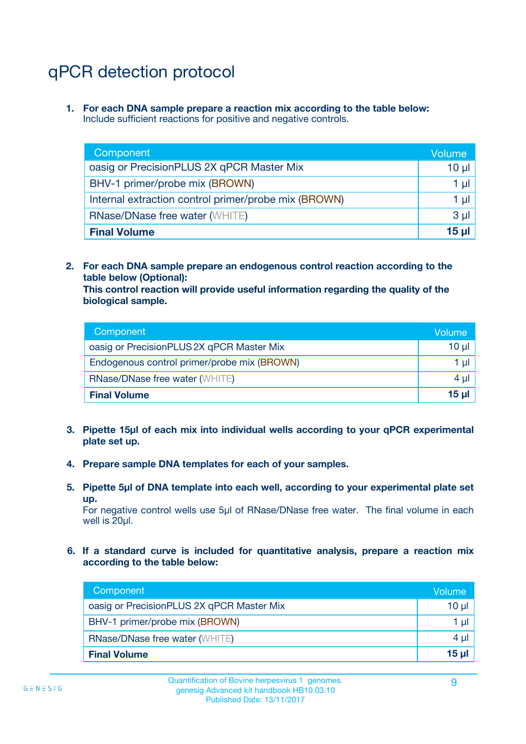# qPCR detection protocol

**1. For each DNA sample prepare a reaction mix according to the table below:** Include sufficient reactions for positive and negative controls.

| Component                                            | Volume   |
|------------------------------------------------------|----------|
| oasig or PrecisionPLUS 2X qPCR Master Mix            | 10 $\mu$ |
| BHV-1 primer/probe mix (BROWN)                       | 1 µI     |
| Internal extraction control primer/probe mix (BROWN) | 1 µl     |
| <b>RNase/DNase free water (WHITE)</b>                | $3 \mu$  |
| <b>Final Volume</b>                                  | 15 µl    |

**2. For each DNA sample prepare an endogenous control reaction according to the table below (Optional):**

**This control reaction will provide useful information regarding the quality of the biological sample.**

| Component                                   | Volume   |
|---------------------------------------------|----------|
| oasig or PrecisionPLUS 2X qPCR Master Mix   | $10 \mu$ |
| Endogenous control primer/probe mix (BROWN) | 1 µI     |
| <b>RNase/DNase free water (WHITE)</b>       | $4 \mu$  |
| <b>Final Volume</b>                         | 15 µl    |

- **3. Pipette 15µl of each mix into individual wells according to your qPCR experimental plate set up.**
- **4. Prepare sample DNA templates for each of your samples.**
- **5. Pipette 5µl of DNA template into each well, according to your experimental plate set up.**

For negative control wells use 5µl of RNase/DNase free water. The final volume in each well is 20ul.

**6. If a standard curve is included for quantitative analysis, prepare a reaction mix according to the table below:**

| Component                                 | Volume |
|-------------------------------------------|--------|
| oasig or PrecisionPLUS 2X qPCR Master Mix | 10 µl  |
| BHV-1 primer/probe mix (BROWN)            | 1 µI   |
| <b>RNase/DNase free water (WHITE)</b>     | 4 µl   |
| <b>Final Volume</b>                       | 15 µl  |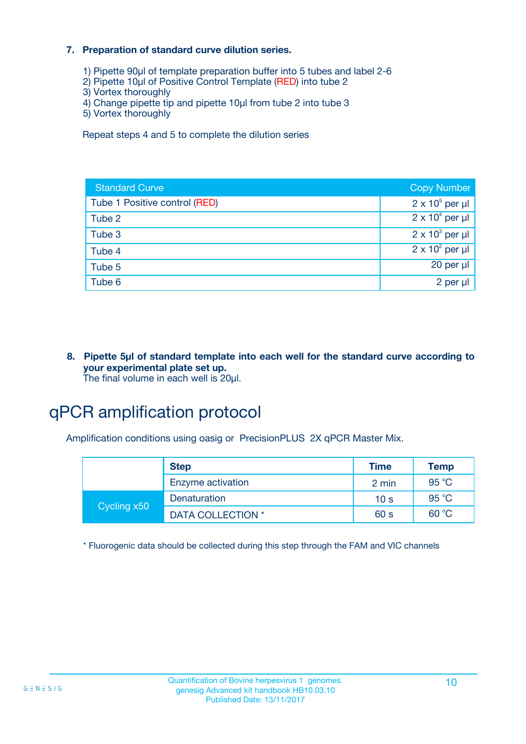#### **7. Preparation of standard curve dilution series.**

- 1) Pipette 90µl of template preparation buffer into 5 tubes and label 2-6
- 2) Pipette 10µl of Positive Control Template (RED) into tube 2
- 3) Vortex thoroughly
- 4) Change pipette tip and pipette 10µl from tube 2 into tube 3
- 5) Vortex thoroughly

Repeat steps 4 and 5 to complete the dilution series

| <b>Standard Curve</b>         | <b>Copy Number</b>     |
|-------------------------------|------------------------|
| Tube 1 Positive control (RED) | $2 \times 10^5$ per µl |
| Tube 2                        | $2 \times 10^4$ per µl |
| Tube 3                        | $2 \times 10^3$ per µl |
| Tube 4                        | $2 \times 10^2$ per µl |
| Tube 5                        | $20$ per $\mu$         |
| Tube 6                        | 2 per µl               |

**8. Pipette 5µl of standard template into each well for the standard curve according to your experimental plate set up.** The final volume in each well is 20µl.

# qPCR amplification protocol

Amplification conditions using oasig or PrecisionPLUS 2X qPCR Master Mix.

|             | <b>Step</b>       | <b>Time</b>     | <b>Temp</b> |
|-------------|-------------------|-----------------|-------------|
|             | Enzyme activation | 2 min           | 95 °C       |
| Cycling x50 | Denaturation      | 10 <sub>s</sub> | 95 °C       |
|             | DATA COLLECTION * | 60 s            | 60 °C       |

\* Fluorogenic data should be collected during this step through the FAM and VIC channels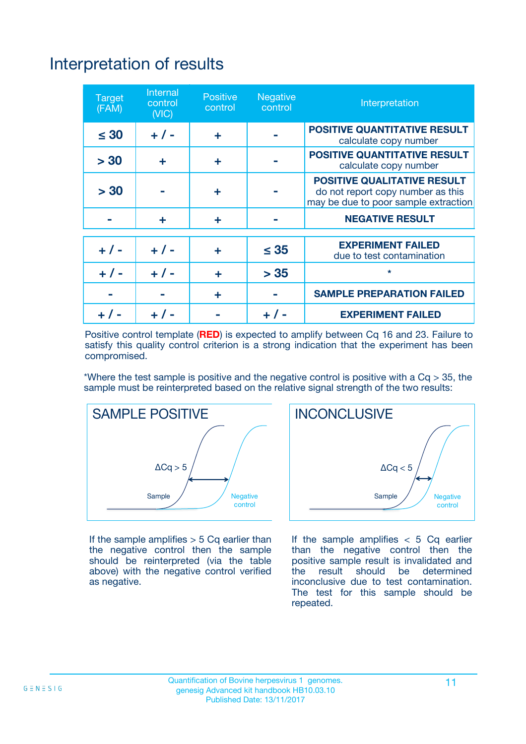# Interpretation of results

| <b>Target</b><br>(FAM) | <b>Internal</b><br>control<br>(NIC) | <b>Positive</b><br>control | <b>Negative</b><br>control | Interpretation                                                                                                  |
|------------------------|-------------------------------------|----------------------------|----------------------------|-----------------------------------------------------------------------------------------------------------------|
| $\leq 30$              | $+ 1 -$                             | ÷                          |                            | <b>POSITIVE QUANTITATIVE RESULT</b><br>calculate copy number                                                    |
| > 30                   | ٠                                   | ÷                          |                            | <b>POSITIVE QUANTITATIVE RESULT</b><br>calculate copy number                                                    |
| > 30                   |                                     | ÷                          |                            | <b>POSITIVE QUALITATIVE RESULT</b><br>do not report copy number as this<br>may be due to poor sample extraction |
|                        | ÷                                   | ÷                          |                            | <b>NEGATIVE RESULT</b>                                                                                          |
| $+ 1 -$                | $+ 1 -$                             | ÷                          | $\leq$ 35                  | <b>EXPERIMENT FAILED</b><br>due to test contamination                                                           |
| $+$ / -                | $+ 1 -$                             | ÷                          | > 35                       | $\star$                                                                                                         |
|                        |                                     | ÷                          |                            | <b>SAMPLE PREPARATION FAILED</b>                                                                                |
|                        |                                     |                            | $+$ /                      | <b>EXPERIMENT FAILED</b>                                                                                        |

Positive control template (**RED**) is expected to amplify between Cq 16 and 23. Failure to satisfy this quality control criterion is a strong indication that the experiment has been compromised.

\*Where the test sample is positive and the negative control is positive with a  $Ca > 35$ , the sample must be reinterpreted based on the relative signal strength of the two results:



If the sample amplifies  $> 5$  Cq earlier than the negative control then the sample should be reinterpreted (via the table above) with the negative control verified as negative.



If the sample amplifies  $< 5$  Cq earlier than the negative control then the positive sample result is invalidated and<br>the result should be determined  $the$  result should be inconclusive due to test contamination. The test for this sample should be repeated.